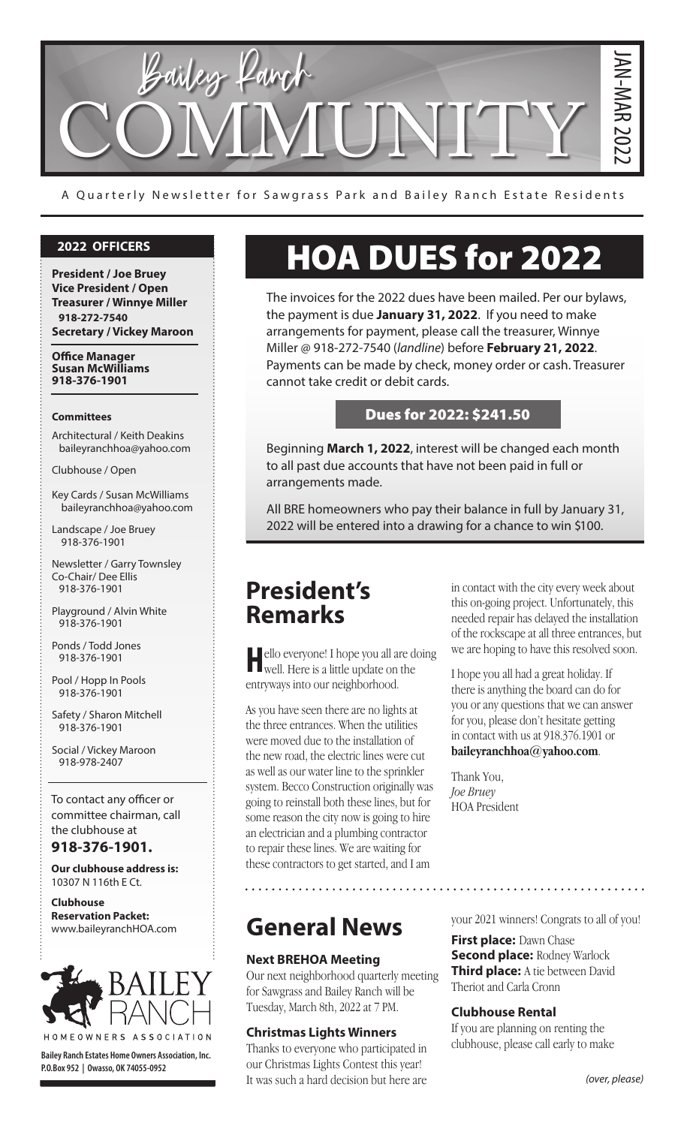

A Quarterly Newsletter for Sawgrass Park and Bailey Ranch Estate Residents

#### **2022 OFFICERS**

**President / Joe Bruey Vice President / Open Treasurer / Winnye Miller 918-272-7540 Secretary / Vickey Maroon**

**Office Manager Susan McWilliams 918-376-1901**

#### **Committees**

Architectural / Keith Deakins baileyranchhoa@yahoo.com

Clubhouse / Open

Key Cards / Susan McWilliams baileyranchhoa@yahoo.com

Landscape / Joe Bruey 918-376-1901

Newsletter / Garry Townsley Co-Chair/ Dee Ellis 918-376-1901

Playground / Alvin White 918-376-1901

Ponds / Todd Jones 918-376-1901

Pool / Hopp In Pools 918-376-1901

Safety / Sharon Mitchell 918-376-1901

Social / Vickey Maroon 918-978-2407

To contact any officer or committee chairman, call the clubhouse at

**918-376-1901.**

**Our clubhouse address is:**  10307 N 116th E Ct.

**Clubhouse Reservation Packet:**  www.baileyranchHOA.com



**Bailey Ranch Estates Home Owners Association, Inc. P.O.Box 952 | Owasso, OK 74055-0952**

# HOA DUES for 2022

The invoices for the 2022 dues have been mailed. Per our bylaws, the payment is due **January 31, 2022**. If you need to make arrangements for payment, please call the treasurer, Winnye Miller @ 918-272-7540 (*landline*) before **February 21, 2022**. Payments can be made by check, money order or cash. Treasurer cannot take credit or debit cards.

#### Dues for 2022: \$241.50

Beginning **March 1, 2022**, interest will be changed each month to all past due accounts that have not been paid in full or arrangements made.

All BRE homeowners who pay their balance in full by January 31, 2022 will be entered into a drawing for a chance to win \$100.

# **President's Remarks**

ello everyone! I hope you all are doing well. Here is a little update on the entryways into our neighborhood.

As you have seen there are no lights at the three entrances. When the utilities were moved due to the installation of the new road, the electric lines were cut as well as our water line to the sprinkler system. Becco Construction originally was going to reinstall both these lines, but for some reason the city now is going to hire an electrician and a plumbing contractor to repair these lines. We are waiting for these contractors to get started, and I am

**General News**

#### **Next BREHOA Meeting**

Our next neighborhood quarterly meeting for Sawgrass and Bailey Ranch will be Tuesday, March 8th, 2022 at 7 PM.

#### **Christmas Lights Winners**

Thanks to everyone who participated in our Christmas Lights Contest this year! It was such a hard decision but here are in contact with the city every week about this on-going project. Unfortunately, this needed repair has delayed the installation of the rockscape at all three entrances, but we are hoping to have this resolved soon.

I hope you all had a great holiday. If there is anything the board can do for you or any questions that we can answer for you, please don't hesitate getting in contact with us at 918.376.1901 or **baileyranchhoa@yahoo.com**.

Thank You, *Joe Bruey*  HOA President

your 2021 winners! Congrats to all of you!

**First place:** Dawn Chase **Second place: Rodney Warlock Third place:** A tie between David Theriot and Carla Cronn

#### **Clubhouse Rental**

If you are planning on renting the clubhouse, please call early to make